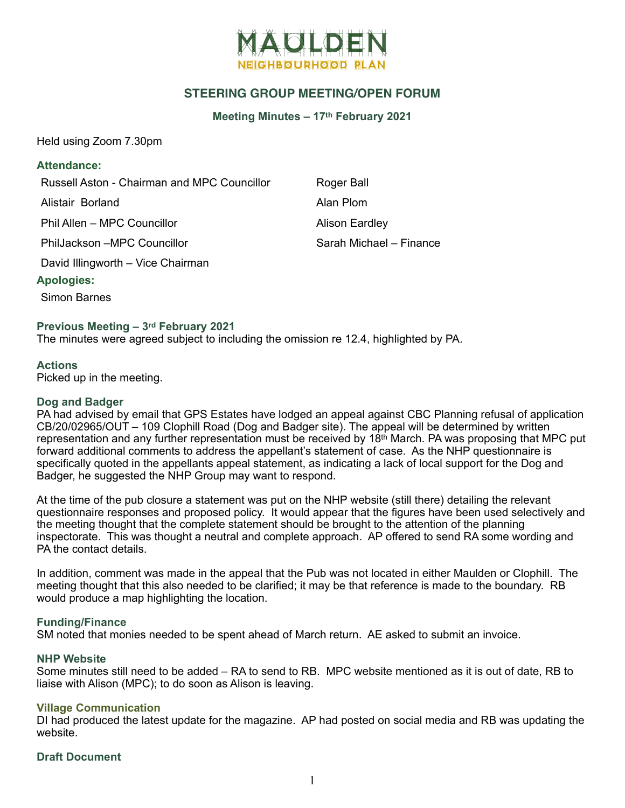

# **STEERING GROUP MEETING/OPEN FORUM**

### **Meeting Minutes – 17th February 2021**

Held using Zoom 7.30pm

### **Attendance:**

Russell Aston - Chairman and MPC Councillor Roger Ball

Alistair Borland **Alistair** Borland **Alan Plom** 

Phil Allen – MPC Councillor **Alison Eardley** 

PhilJackson –MPC Councillor Sarah Michael – Finance

David Illingworth – Vice Chairman

## **Apologies:**

Simon Barnes

## **Previous Meeting – 3rd February 2021**

The minutes were agreed subject to including the omission re 12.4, highlighted by PA.

## **Actions**

Picked up in the meeting.

#### **Dog and Badger**

PA had advised by email that GPS Estates have lodged an appeal against CBC Planning refusal of application CB/20/02965/OUT – 109 Clophill Road (Dog and Badger site). The appeal will be determined by written representation and any further representation must be received by 18th March. PA was proposing that MPC put forward additional comments to address the appellant's statement of case. As the NHP questionnaire is specifically quoted in the appellants appeal statement, as indicating a lack of local support for the Dog and Badger, he suggested the NHP Group may want to respond.

At the time of the pub closure a statement was put on the NHP website (still there) detailing the relevant questionnaire responses and proposed policy. It would appear that the figures have been used selectively and the meeting thought that the complete statement should be brought to the attention of the planning inspectorate. This was thought a neutral and complete approach. AP offered to send RA some wording and PA the contact details.

In addition, comment was made in the appeal that the Pub was not located in either Maulden or Clophill. The meeting thought that this also needed to be clarified; it may be that reference is made to the boundary. RB would produce a map highlighting the location.

#### **Funding/Finance**

SM noted that monies needed to be spent ahead of March return. AE asked to submit an invoice.

#### **NHP Website**

Some minutes still need to be added – RA to send to RB. MPC website mentioned as it is out of date, RB to liaise with Alison (MPC); to do soon as Alison is leaving.

#### **Village Communication**

DI had produced the latest update for the magazine. AP had posted on social media and RB was updating the website.

#### **Draft Document**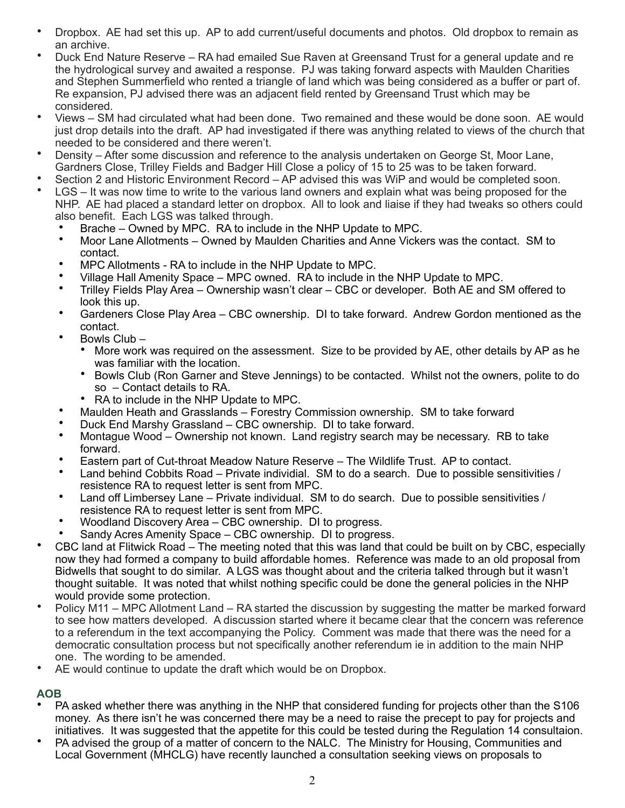- Dropbox. AE had set this up. AP to add current/useful documents and photos. Old dropbox to remain as an archive.
- Duck End Nature Reserve RA had emailed Sue Raven at Greensand Trust for a general update and re the hydrological survey and awaited a response. PJ was taking forward aspects with Maulden Charities and Stephen Summerfield who rented a triangle of land which was being considered as a buffer or part of. Re expansion, PJ advised there was an adjacent field rented by Greensand Trust which may be considered.
- Views SM had circulated what had been done. Two remained and these would be done soon. AE would just drop details into the draft. AP had investigated if there was anything related to views of the church that needed to be considered and there weren't.
- Density After some discussion and reference to the analysis undertaken on George St, Moor Lane, Gardners Close, Trilley Fields and Badger Hill Close a policy of 15 to 25 was to be taken forward.
- Section 2 and Historic Environment Record AP advised this was WiP and would be completed soon.
- LGS It was now time to write to the various land owners and explain what was being proposed for the NHP. AE had placed a standard letter on dropbox. All to look and liaise if they had tweaks so others could also benefit. Each LGS was talked through.
	- Brache Owned by MPC. RA to include in the NHP Update to MPC.
	- Moor Lane Allotments Owned by Maulden Charities and Anne Vickers was the contact. SM to contact.
	- MPC Allotments RA to include in the NHP Update to MPC.
	- Village Hall Amenity Space MPC owned. RA to include in the NHP Update to MPC.
	- Trilley Fields Play Area Ownership wasn't clear CBC or developer. Both AE and SM offered to look this up.
	- Gardeners Close Play Area CBC ownership. DI to take forward. Andrew Gordon mentioned as the contact.
	- Bowls Club
		- More work was required on the assessment. Size to be provided by AE, other details by AP as he was familiar with the location.
		- Bowls Club (Ron Garner and Steve Jennings) to be contacted. Whilst not the owners, polite to do so – Contact details to RA.
		- RA to include in the NHP Update to MPC.
	- Maulden Heath and Grasslands Forestry Commission ownership. SM to take forward
	- Duck End Marshy Grassland CBC ownership. DI to take forward.
	- Montague Wood Ownership not known. Land registry search may be necessary. RB to take forward.
	- Eastern part of Cut-throat Meadow Nature Reserve The Wildlife Trust. AP to contact.
	- Land behind Cobbits Road Private individial. SM to do a search. Due to possible sensitivities / resistence RA to request letter is sent from MPC.
	- Land off Limbersey Lane Private individual. SM to do search. Due to possible sensitivities / resistence RA to request letter is sent from MPC.
	- Woodland Discovery Area CBC ownership. DI to progress.
	- Sandy Acres Amenity Space CBC ownership. DI to progress.
- CBC land at Flitwick Road The meeting noted that this was land that could be built on by CBC, especially now they had formed a company to build affordable homes. Reference was made to an old proposal from Bidwells that sought to do similar. A LGS was thought about and the criteria talked through but it wasn't thought suitable. It was noted that whilst nothing specific could be done the general policies in the NHP would provide some protection.
- Policy M11 MPC Allotment Land RA started the discussion by suggesting the matter be marked forward to see how matters developed. A discussion started where it became clear that the concern was reference to a referendum in the text accompanying the Policy. Comment was made that there was the need for a democratic consultation process but not specifically another referendum ie in addition to the main NHP one. The wording to be amended.
- AE would continue to update the draft which would be on Dropbox.

## **AOB**

- PA asked whether there was anything in the NHP that considered funding for projects other than the S106 money. As there isn't he was concerned there may be a need to raise the precept to pay for projects and initiatives. It was suggested that the appetite for this could be tested during the Regulation 14 consultaion.
- PA advised the group of a matter of concern to the NALC. The Ministry for Housing, Communities and Local Government (MHCLG) have recently launched a consultation seeking views on proposals to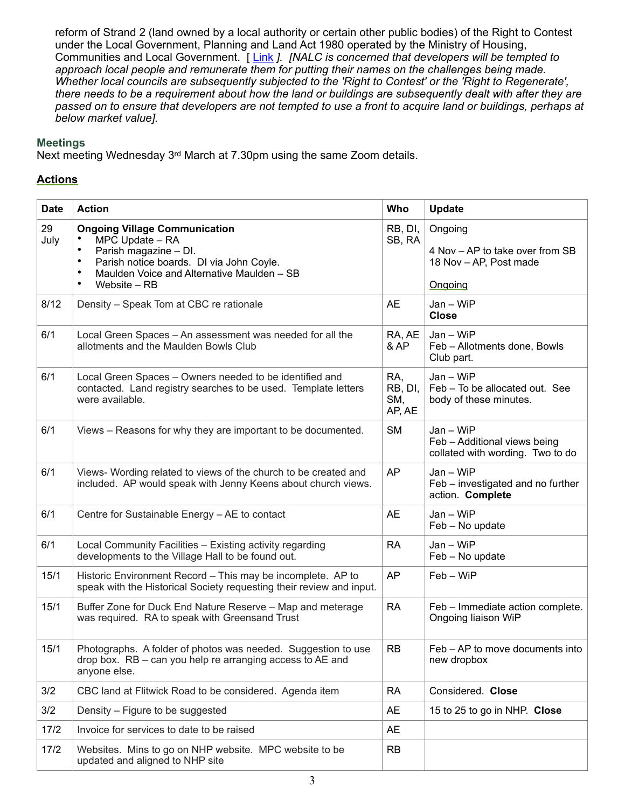reform of Strand 2 (land owned by a local authority or certain other public bodies) of the Right to Contest under the Local Government, Planning and Land Act 1980 operated by the Ministry of Housing, Communities and Local Government. [[Link](https://www.gov.uk/government/consultations/right-to-regenerate-reform-of-the-right-to-contest/right-to-regenerate-reform-of-the-right-to-contest) ]. [NALC is concerned that developers will be tempted to *approach local people and remunerate them for putting their names on the challenges being made. Whether local councils are subsequently subjected to the 'Right to Contest' or the 'Right to Regenerate', there needs to be a requirement about how the land or buildings are subsequently dealt with after they are passed on to ensure that developers are not tempted to use a front to acquire land or buildings, perhaps at below market value].*

## **Meetings**

Next meeting Wednesday 3rd March at 7.30pm using the same Zoom details.

# **Actions**

| <b>Date</b> | <b>Action</b>                                                                                                                                                                                                     | Who                             | Update                                                                          |
|-------------|-------------------------------------------------------------------------------------------------------------------------------------------------------------------------------------------------------------------|---------------------------------|---------------------------------------------------------------------------------|
| 29<br>July  | <b>Ongoing Village Communication</b><br>MPC Update - RA<br>Parish magazine - DI.<br>Parish notice boards. DI via John Coyle.<br>$\bullet$<br>Maulden Voice and Alternative Maulden - SB<br>٠<br>Website - RB<br>٠ | RB, DI,<br>SB, RA               | Ongoing<br>4 Nov - AP to take over from SB<br>18 Nov - AP, Post made<br>Ongoing |
| 8/12        | Density - Speak Tom at CBC re rationale                                                                                                                                                                           | <b>AE</b>                       | $Jan - WiFi$<br><b>Close</b>                                                    |
| 6/1         | Local Green Spaces - An assessment was needed for all the<br>allotments and the Maulden Bowls Club                                                                                                                | RA, AE<br>& AP                  | $Jan - WiFi$<br>Feb - Allotments done, Bowls<br>Club part.                      |
| 6/1         | Local Green Spaces – Owners needed to be identified and<br>contacted. Land registry searches to be used. Template letters<br>were available.                                                                      | RA,<br>RB, DI,<br>SM,<br>AP, AE | Jan - WiP<br>Feb - To be allocated out. See<br>body of these minutes.           |
| 6/1         | Views - Reasons for why they are important to be documented.                                                                                                                                                      | <b>SM</b>                       | Jan - WiP<br>Feb - Additional views being<br>collated with wording. Two to do   |
| 6/1         | Views- Wording related to views of the church to be created and<br>included. AP would speak with Jenny Keens about church views.                                                                                  | <b>AP</b>                       | $Jan - WiFi$<br>Feb - investigated and no further<br>action. Complete           |
| 6/1         | Centre for Sustainable Energy - AE to contact                                                                                                                                                                     | <b>AE</b>                       | $Jan - WiFi$<br>Feb - No update                                                 |
| 6/1         | Local Community Facilities - Existing activity regarding<br>developments to the Village Hall to be found out.                                                                                                     | <b>RA</b>                       | $Jan - WiFi$<br>Feb - No update                                                 |
| 15/1        | Historic Environment Record - This may be incomplete. AP to<br>speak with the Historical Society requesting their review and input.                                                                               | <b>AP</b>                       | Feb - WiP                                                                       |
| 15/1        | Buffer Zone for Duck End Nature Reserve - Map and meterage<br>was required. RA to speak with Greensand Trust                                                                                                      | <b>RA</b>                       | Feb - Immediate action complete.<br>Ongoing liaison WiP                         |
| 15/1        | Photographs. A folder of photos was needed. Suggestion to use<br>drop box. RB - can you help re arranging access to AE and<br>anyone else.                                                                        | <b>RB</b>                       | Feb – AP to move documents into<br>new dropbox                                  |
| 3/2         | CBC land at Flitwick Road to be considered. Agenda item                                                                                                                                                           | <b>RA</b>                       | Considered. Close                                                               |
| 3/2         | Density – Figure to be suggested                                                                                                                                                                                  | <b>AE</b>                       | 15 to 25 to go in NHP. Close                                                    |
| 17/2        | Invoice for services to date to be raised                                                                                                                                                                         | <b>AE</b>                       |                                                                                 |
| 17/2        | Websites. Mins to go on NHP website. MPC website to be<br>updated and aligned to NHP site                                                                                                                         | <b>RB</b>                       |                                                                                 |